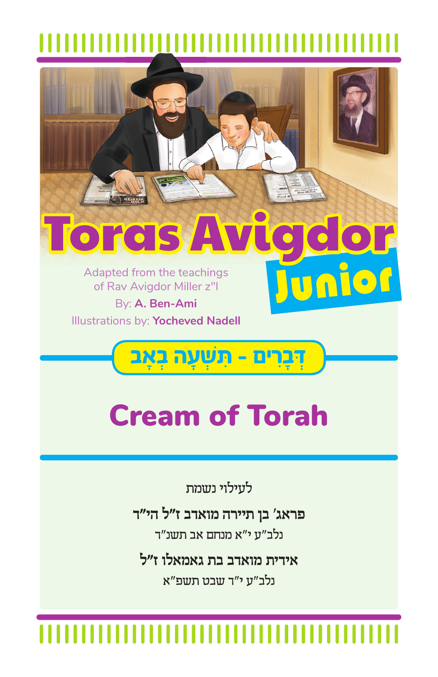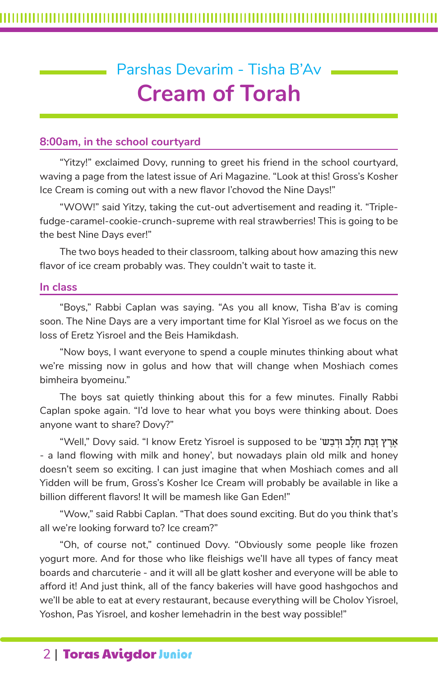# Parshas Devarim - Tisha B'Av **Cream of Torah**

### **8:00am, in the school courtyard**

"Yitzy!" exclaimed Dovy, running to greet his friend in the school courtyard, waving a page from the latest issue of Ari Magazine. "Look at this! Gross's Kosher Ice Cream is coming out with a new flavor l'chovod the Nine Days!"

"WOW!" said Yitzy, taking the cut-out advertisement and reading it. "Triplefudge-caramel-cookie-crunch-supreme with real strawberries! This is going to be the best Nine Days ever!"

The two boys headed to their classroom, talking about how amazing this new flavor of ice cream probably was. They couldn't wait to taste it.

### **In class**

"Boys," Rabbi Caplan was saying. "As you all know, Tisha B'av is coming soon. The Nine Days are a very important time for Klal Yisroel as we focus on the loss of Eretz Yisroel and the Beis Hamikdash.

"Now boys, I want everyone to spend a couple minutes thinking about what we're missing now in golus and how that will change when Moshiach comes bimheira byomeinu."

The boys sat quietly thinking about this for a few minutes. Finally Rabbi Caplan spoke again. "I'd love to hear what you boys were thinking about. Does anyone want to share? Dovy?"

"Well," Dovy said. "I know Eretz Yisroel is supposed to be '˘בַ¿"וּ לבָחָ˙ בַזָ ıר∆‡∆ - a land flowing with milk and honey', but nowadays plain old milk and honey doesn't seem so exciting. I can just imagine that when Moshiach comes and all Yidden will be frum, Gross's Kosher Ice Cream will probably be available in like a billion different flavors! It will be mamesh like Gan Eden!"

"Wow," said Rabbi Caplan. "That does sound exciting. But do you think that's all we're looking forward to? Ice cream?"

"Oh, of course not," continued Dovy. "Obviously some people like frozen yogurt more. And for those who like fleishigs we'll have all types of fancy meat boards and charcuterie - and it will all be glatt kosher and everyone will be able to afford it! And just think, all of the fancy bakeries will have good hashgochos and we'll be able to eat at every restaurant, because everything will be Cholov Yisroel, Yoshon, Pas Yisroel, and kosher lemehadrin in the best way possible!"

# 2 | Toras Avigdor Junior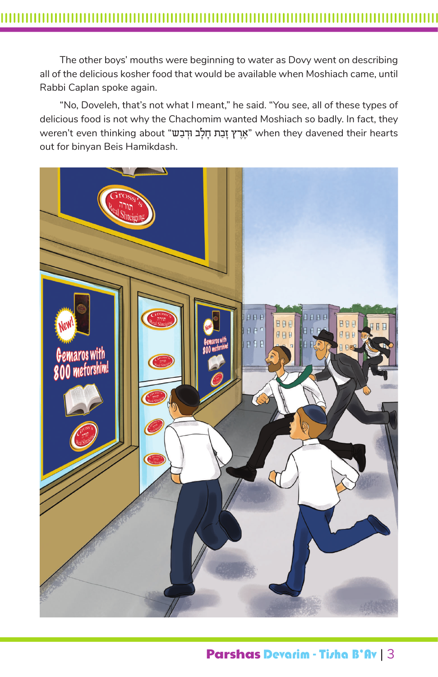The other boys' mouths were beginning to water as Dovy went on describing all of the delicious kosher food that would be available when Moshiach came, until Rabbi Caplan spoke again.

"No, Doveleh, that's not what I meant," he said. "You see, all of these types of delicious food is not why the Chachomim wanted Moshiach so badly. In fact, they weren't even thinking about "אֲרֵץ זַבָּת חַלַב וּדְבַשׁ when they davened their hearts out for binyan Beis Hamikdash.